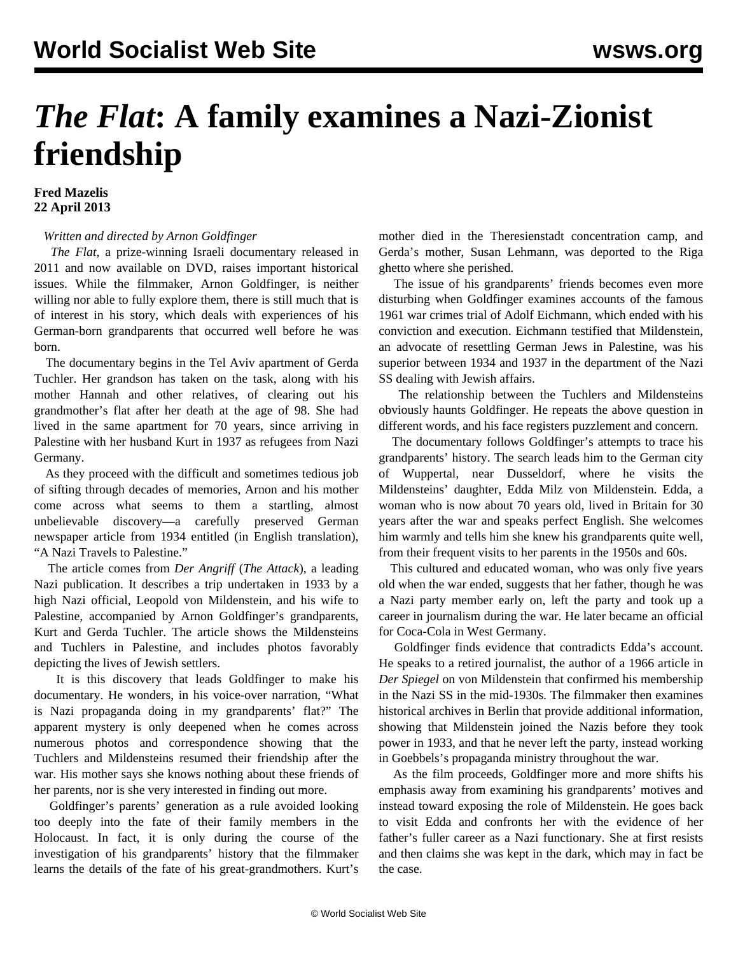## *The Flat***: A family examines a Nazi-Zionist friendship**

## **Fred Mazelis 22 April 2013**

## *Written and directed by Arnon Goldfinger*

 *The Flat*, a prize-winning Israeli documentary released in 2011 and now available on DVD, raises important historical issues. While the filmmaker, Arnon Goldfinger, is neither willing nor able to fully explore them, there is still much that is of interest in his story, which deals with experiences of his German-born grandparents that occurred well before he was born.

 The documentary begins in the Tel Aviv apartment of Gerda Tuchler. Her grandson has taken on the task, along with his mother Hannah and other relatives, of clearing out his grandmother's flat after her death at the age of 98. She had lived in the same apartment for 70 years, since arriving in Palestine with her husband Kurt in 1937 as refugees from Nazi Germany.

 As they proceed with the difficult and sometimes tedious job of sifting through decades of memories, Arnon and his mother come across what seems to them a startling, almost unbelievable discovery—a carefully preserved German newspaper article from 1934 entitled (in English translation), "A Nazi Travels to Palestine."

 The article comes from *Der Angriff* (*The Attack*), a leading Nazi publication. It describes a trip undertaken in 1933 by a high Nazi official, Leopold von Mildenstein, and his wife to Palestine, accompanied by Arnon Goldfinger's grandparents, Kurt and Gerda Tuchler. The article shows the Mildensteins and Tuchlers in Palestine, and includes photos favorably depicting the lives of Jewish settlers.

 It is this discovery that leads Goldfinger to make his documentary. He wonders, in his voice-over narration, "What is Nazi propaganda doing in my grandparents' flat?" The apparent mystery is only deepened when he comes across numerous photos and correspondence showing that the Tuchlers and Mildensteins resumed their friendship after the war. His mother says she knows nothing about these friends of her parents, nor is she very interested in finding out more.

 Goldfinger's parents' generation as a rule avoided looking too deeply into the fate of their family members in the Holocaust. In fact, it is only during the course of the investigation of his grandparents' history that the filmmaker learns the details of the fate of his great-grandmothers. Kurt's mother died in the Theresienstadt concentration camp, and Gerda's mother, Susan Lehmann, was deported to the Riga ghetto where she perished.

 The issue of his grandparents' friends becomes even more disturbing when Goldfinger examines accounts of the famous 1961 war crimes trial of Adolf Eichmann, which ended with his conviction and execution. Eichmann testified that Mildenstein, an advocate of resettling German Jews in Palestine, was his superior between 1934 and 1937 in the department of the Nazi SS dealing with Jewish affairs.

 The relationship between the Tuchlers and Mildensteins obviously haunts Goldfinger. He repeats the above question in different words, and his face registers puzzlement and concern.

 The documentary follows Goldfinger's attempts to trace his grandparents' history. The search leads him to the German city of Wuppertal, near Dusseldorf, where he visits the Mildensteins' daughter, Edda Milz von Mildenstein. Edda, a woman who is now about 70 years old, lived in Britain for 30 years after the war and speaks perfect English. She welcomes him warmly and tells him she knew his grandparents quite well, from their frequent visits to her parents in the 1950s and 60s.

 This cultured and educated woman, who was only five years old when the war ended, suggests that her father, though he was a Nazi party member early on, left the party and took up a career in journalism during the war. He later became an official for Coca-Cola in West Germany.

 Goldfinger finds evidence that contradicts Edda's account. He speaks to a retired journalist, the author of a 1966 article in *Der Spiegel* on von Mildenstein that confirmed his membership in the Nazi SS in the mid-1930s. The filmmaker then examines historical archives in Berlin that provide additional information, showing that Mildenstein joined the Nazis before they took power in 1933, and that he never left the party, instead working in Goebbels's propaganda ministry throughout the war.

 As the film proceeds, Goldfinger more and more shifts his emphasis away from examining his grandparents' motives and instead toward exposing the role of Mildenstein. He goes back to visit Edda and confronts her with the evidence of her father's fuller career as a Nazi functionary. She at first resists and then claims she was kept in the dark, which may in fact be the case.